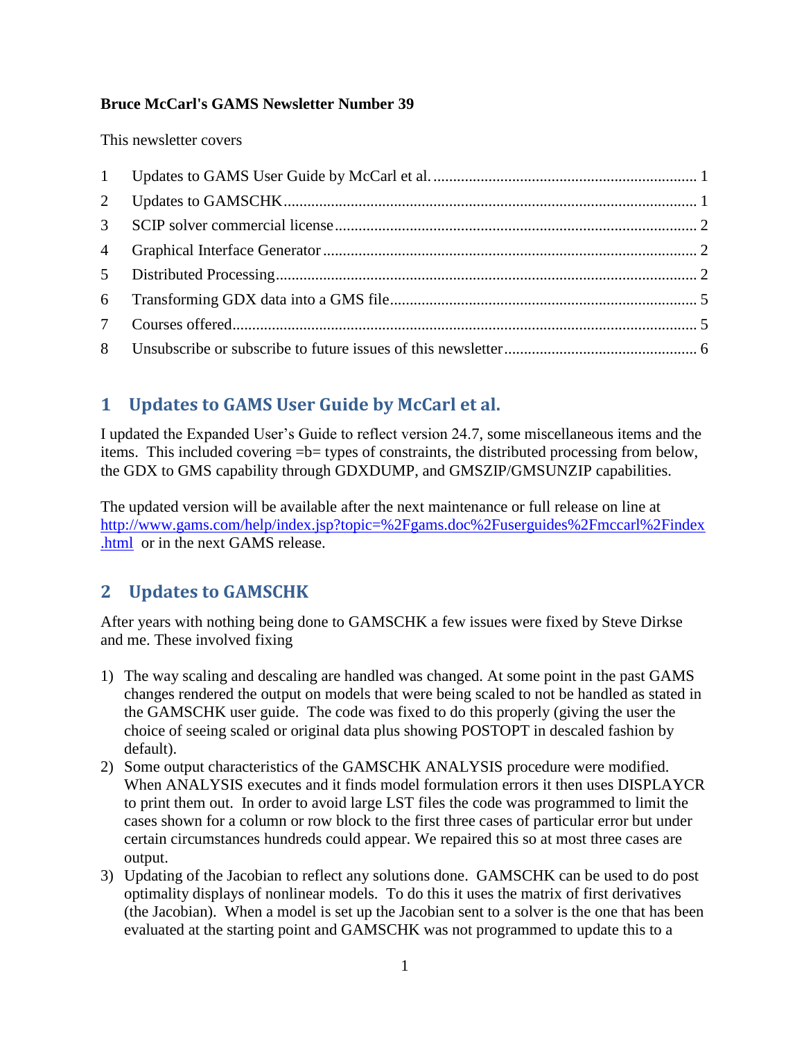#### **Bruce McCarl's GAMS Newsletter Number 39**

This newsletter covers

| $\overline{2}$  |  |
|-----------------|--|
| $\mathcal{E}$   |  |
|                 |  |
|                 |  |
|                 |  |
| $7\overline{ }$ |  |
|                 |  |

# <span id="page-0-0"></span>**1 Updates to GAMS User Guide by McCarl et al.**

I updated the Expanded User's Guide to reflect version 24.7, some miscellaneous items and the items. This included covering =b= types of constraints, the distributed processing from below, the GDX to GMS capability through GDXDUMP, and GMSZIP/GMSUNZIP capabilities.

The updated version will be available after the next maintenance or full release on line at [http://www.gams.com/help/index.jsp?topic=%2Fgams.doc%2Fuserguides%2Fmccarl%2Findex](http://www.gams.com/help/index.jsp?topic=%2Fgams.doc%2Fuserguides%2Fmccarl%2Findex.html) [.html](http://www.gams.com/help/index.jsp?topic=%2Fgams.doc%2Fuserguides%2Fmccarl%2Findex.html) or in the next GAMS release.

# <span id="page-0-1"></span>**2 Updates to GAMSCHK**

After years with nothing being done to GAMSCHK a few issues were fixed by Steve Dirkse and me. These involved fixing

- 1) The way scaling and descaling are handled was changed. At some point in the past GAMS changes rendered the output on models that were being scaled to not be handled as stated in the GAMSCHK user guide. The code was fixed to do this properly (giving the user the choice of seeing scaled or original data plus showing POSTOPT in descaled fashion by default).
- 2) Some output characteristics of the GAMSCHK ANALYSIS procedure were modified. When ANALYSIS executes and it finds model formulation errors it then uses DISPLAYCR to print them out. In order to avoid large LST files the code was programmed to limit the cases shown for a column or row block to the first three cases of particular error but under certain circumstances hundreds could appear. We repaired this so at most three cases are output.
- 3) Updating of the Jacobian to reflect any solutions done. GAMSCHK can be used to do post optimality displays of nonlinear models. To do this it uses the matrix of first derivatives (the Jacobian). When a model is set up the Jacobian sent to a solver is the one that has been evaluated at the starting point and GAMSCHK was not programmed to update this to a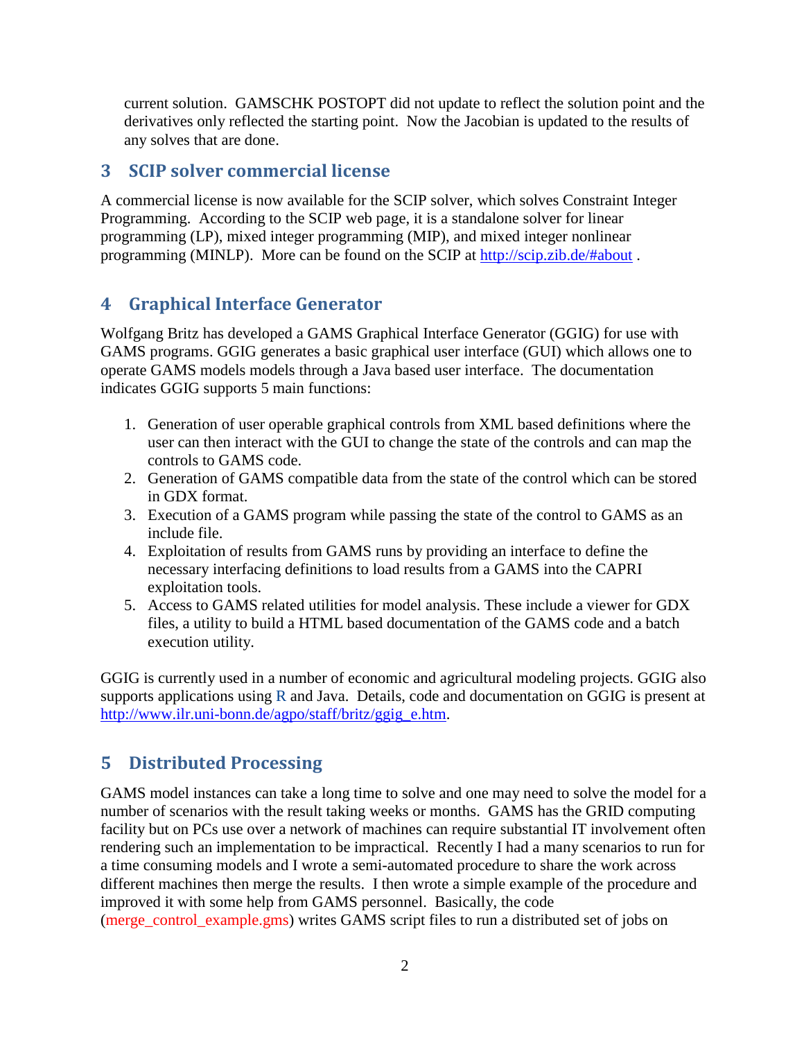current solution. GAMSCHK POSTOPT did not update to reflect the solution point and the derivatives only reflected the starting point. Now the Jacobian is updated to the results of any solves that are done.

### <span id="page-1-0"></span>**3 SCIP solver commercial license**

A commercial license is now available for the SCIP solver, which solves Constraint Integer Programming. According to the SCIP web page, it is a standalone solver for linear programming (LP), mixed integer programming (MIP), and mixed integer nonlinear programming (MINLP). More can be found on the SCIP at<http://scip.zib.de/#about> .

## <span id="page-1-1"></span>**4 Graphical Interface Generator**

Wolfgang Britz has developed a GAMS Graphical Interface Generator (GGIG) for use with GAMS programs. GGIG generates a basic graphical user interface (GUI) which allows one to operate GAMS models models through a Java based user interface. The documentation indicates GGIG supports 5 main functions:

- 1. Generation of user operable graphical controls from XML based definitions where the user can then interact with the GUI to change the state of the controls and can map the controls to GAMS code.
- 2. Generation of GAMS compatible data from the state of the control which can be stored in GDX format.
- 3. Execution of a GAMS program while passing the state of the control to GAMS as an include file.
- 4. Exploitation of results from GAMS runs by providing an interface to define the necessary interfacing definitions to load results from a GAMS into the CAPRI exploitation tools.
- 5. Access to GAMS related utilities for model analysis. These include a viewer for GDX files, a utility to build a HTML based documentation of the GAMS code and a batch execution utility.

GGIG is currently used in a number of economic and agricultural modeling projects. GGIG also supports applications using  $R$  and Java. Details, code and documentation on GGIG is present at [http://www.ilr.uni-bonn.de/agpo/staff/britz/ggig\\_e.htm.](http://www.ilr.uni-bonn.de/agpo/staff/britz/ggig_e.htm)

## <span id="page-1-2"></span>**5 Distributed Processing**

GAMS model instances can take a long time to solve and one may need to solve the model for a number of scenarios with the result taking weeks or months. GAMS has the GRID computing facility but on PCs use over a network of machines can require substantial IT involvement often rendering such an implementation to be impractical. Recently I had a many scenarios to run for a time consuming models and I wrote a semi-automated procedure to share the work across different machines then merge the results. I then wrote a simple example of the procedure and improved it with some help from GAMS personnel. Basically, the code (merge\_control\_example.gms) writes GAMS script files to run a distributed set of jobs on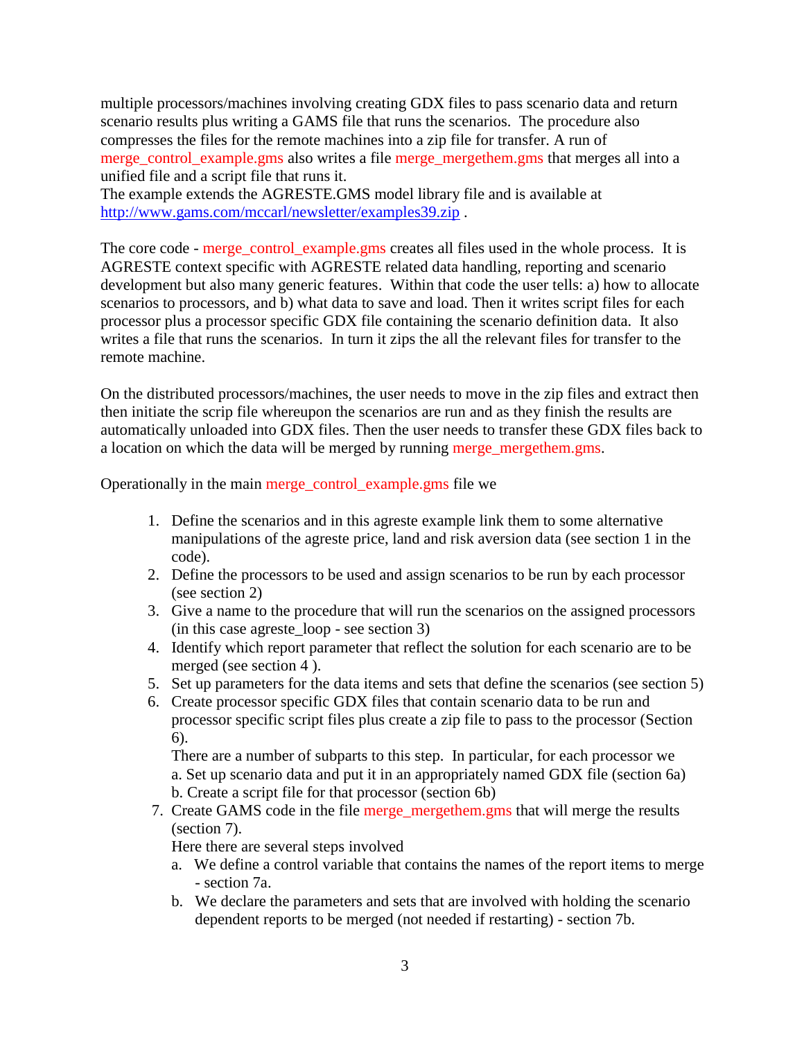multiple processors/machines involving creating GDX files to pass scenario data and return scenario results plus writing a GAMS file that runs the scenarios. The procedure also compresses the files for the remote machines into a zip file for transfer. A run of merge\_control\_example.gms also writes a file merge\_mergethem.gms that merges all into a unified file and a script file that runs it.

The example extends the AGRESTE.GMS model library file and is available at <http://www.gams.com/mccarl/newsletter/examples39.zip> .

The core code - merge\_control\_example.gms creates all files used in the whole process. It is AGRESTE context specific with AGRESTE related data handling, reporting and scenario development but also many generic features. Within that code the user tells: a) how to allocate scenarios to processors, and b) what data to save and load. Then it writes script files for each processor plus a processor specific GDX file containing the scenario definition data. It also writes a file that runs the scenarios. In turn it zips the all the relevant files for transfer to the remote machine.

On the distributed processors/machines, the user needs to move in the zip files and extract then then initiate the scrip file whereupon the scenarios are run and as they finish the results are automatically unloaded into GDX files. Then the user needs to transfer these GDX files back to a location on which the data will be merged by running merge\_mergethem.gms.

Operationally in the main merge\_control\_example.gms file we

- 1. Define the scenarios and in this agreste example link them to some alternative manipulations of the agreste price, land and risk aversion data (see section 1 in the code).
- 2. Define the processors to be used and assign scenarios to be run by each processor (see section 2)
- 3. Give a name to the procedure that will run the scenarios on the assigned processors (in this case agreste\_loop - see section 3)
- 4. Identify which report parameter that reflect the solution for each scenario are to be merged (see section 4 ).
- 5. Set up parameters for the data items and sets that define the scenarios (see section 5)
- 6. Create processor specific GDX files that contain scenario data to be run and processor specific script files plus create a zip file to pass to the processor (Section 6).

There are a number of subparts to this step. In particular, for each processor we a. Set up scenario data and put it in an appropriately named GDX file (section 6a) b. Create a script file for that processor (section 6b)

7. Create GAMS code in the file merge mergethem.gms that will merge the results (section 7).

Here there are several steps involved

- a. We define a control variable that contains the names of the report items to merge - section 7a.
- b. We declare the parameters and sets that are involved with holding the scenario dependent reports to be merged (not needed if restarting) - section 7b.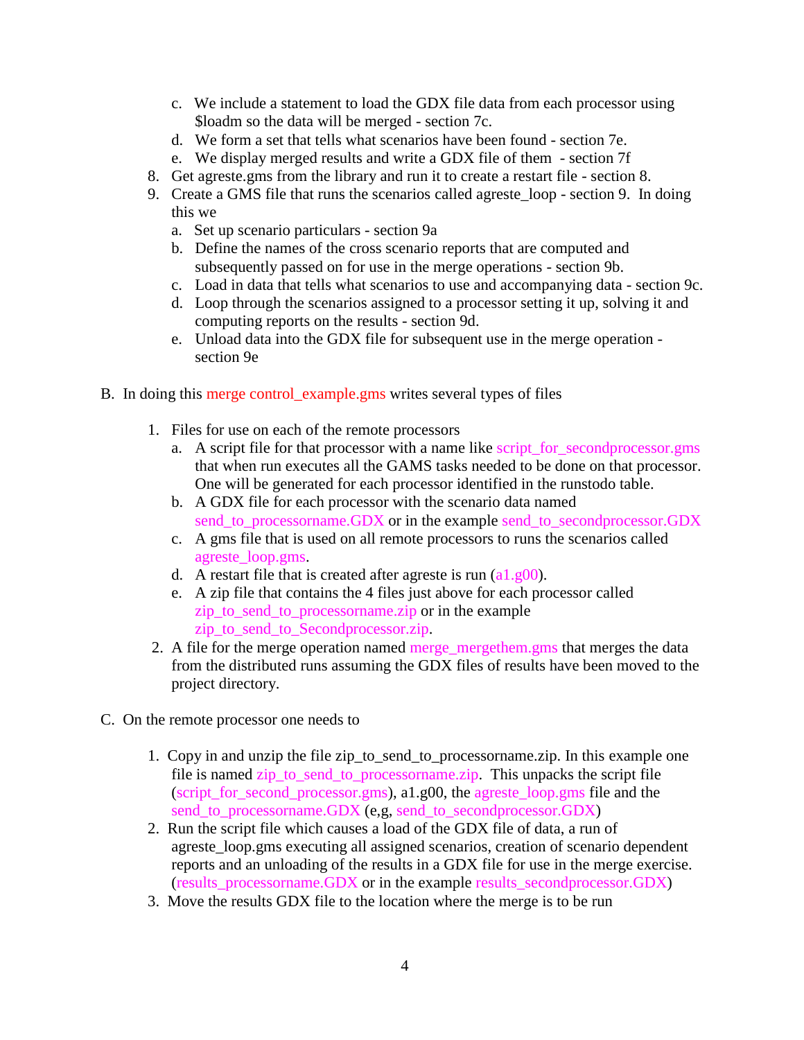- c. We include a statement to load the GDX file data from each processor using \$loadm so the data will be merged - section 7c.
- d. We form a set that tells what scenarios have been found section 7e.
- e. We display merged results and write a GDX file of them section 7f
- 8. Get agreste.gms from the library and run it to create a restart file section 8.
- 9. Create a GMS file that runs the scenarios called agreste\_loop section 9. In doing this we
	- a. Set up scenario particulars section 9a
	- b. Define the names of the cross scenario reports that are computed and subsequently passed on for use in the merge operations - section 9b.
	- c. Load in data that tells what scenarios to use and accompanying data section 9c.
	- d. Loop through the scenarios assigned to a processor setting it up, solving it and computing reports on the results - section 9d.
	- e. Unload data into the GDX file for subsequent use in the merge operation section 9e
- B. In doing this merge control\_example.gms writes several types of files
	- 1. Files for use on each of the remote processors
		- a. A script file for that processor with a name like script\_for\_secondprocessor.gms that when run executes all the GAMS tasks needed to be done on that processor. One will be generated for each processor identified in the runstodo table.
		- b. A GDX file for each processor with the scenario data named send\_to\_processorname.GDX or in the example send\_to\_secondprocessor.GDX
		- c. A gms file that is used on all remote processors to runs the scenarios called agreste\_loop.gms.
		- d. A restart file that is created after agreste is run (a1.g00).
		- e. A zip file that contains the 4 files just above for each processor called zip\_to\_send\_to\_processorname.zip or in the example zip to send to Secondprocessor.zip.
	- 2. A file for the merge operation named merge mergethem.gms that merges the data from the distributed runs assuming the GDX files of results have been moved to the project directory.
- C. On the remote processor one needs to
	- 1. Copy in and unzip the file zip\_to\_send\_to\_processorname.zip. In this example one file is named zip\_to\_send\_to\_processorname.zip. This unpacks the script file (script\_for\_second\_processor.gms), a1.g00, the agreste\_loop.gms file and the send to processorname.GDX (e,g, send to secondprocessor.GDX)
	- 2. Run the script file which causes a load of the GDX file of data, a run of agreste loop.gms executing all assigned scenarios, creation of scenario dependent reports and an unloading of the results in a GDX file for use in the merge exercise. (results\_processorname.GDX or in the example results\_secondprocessor.GDX)
	- 3. Move the results GDX file to the location where the merge is to be run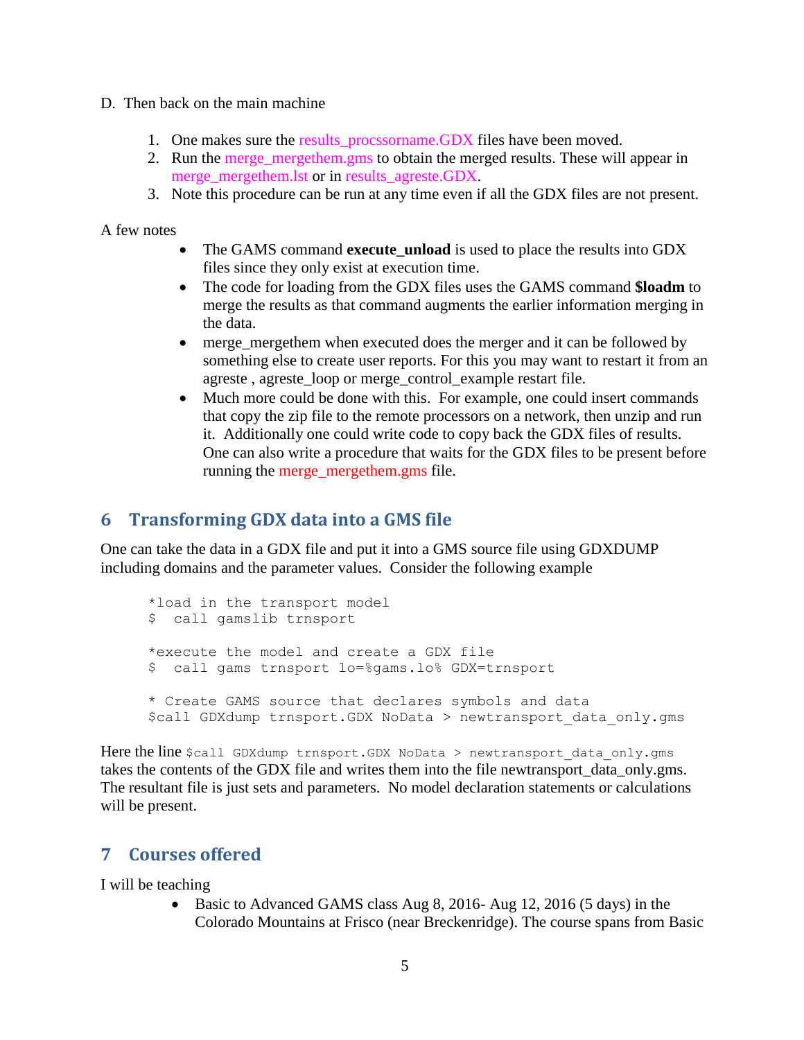- D. Then back on the main machine
	- 1. One makes sure the results procssorname.GDX files have been moved.
	- 2. Run the merge\_mergethem.gms to obtain the merged results. These will appear in merge mergethem.lst or in results agreste.GDX.
	- 3. Note this procedure can be run at any time even if all the GDX files are not present.

A few notes

- The GAMS command **execute unload** is used to place the results into GDX files since they only exist at execution time.
- The code for loading from the GDX files uses the GAMS command **\$loadm** to merge the results as that command augments the earlier information merging in the data.
- merge mergethem when executed does the merger and it can be followed by something else to create user reports. For this you may want to restart it from an agreste , agreste\_loop or merge\_control\_example restart file.
- Much more could be done with this. For example, one could insert commands that copy the zip file to the remote processors on a network, then unzip and run it. Additionally one could write code to copy back the GDX files of results. One can also write a procedure that waits for the GDX files to be present before running the merge mergethem.gms file.

#### <span id="page-4-0"></span>**6 Transforming GDX data into a GMS file**

One can take the data in a GDX file and put it into a GMS source file using GDXDUMP including domains and the parameter values. Consider the following example

```
*load in the transport model
$ call gamslib trnsport
*execute the model and create a GDX file
$ call gams trnsport lo=%gams.lo% GDX=trnsport
* Create GAMS source that declares symbols and data
$call GDXdump trnsport.GDX NoData > newtransport data only.gms
```
Here the line \$call GDXdump trnsport.GDX NoData > newtransport data only.gms takes the contents of the GDX file and writes them into the file newtransport\_data\_only.gms. The resultant file is just sets and parameters. No model declaration statements or calculations will be present.

### <span id="page-4-1"></span>**7 Courses offered**

I will be teaching

 Basic to Advanced GAMS class Aug 8, 2016- Aug 12, 2016 (5 days) in the Colorado Mountains at Frisco (near Breckenridge). The course spans from Basic